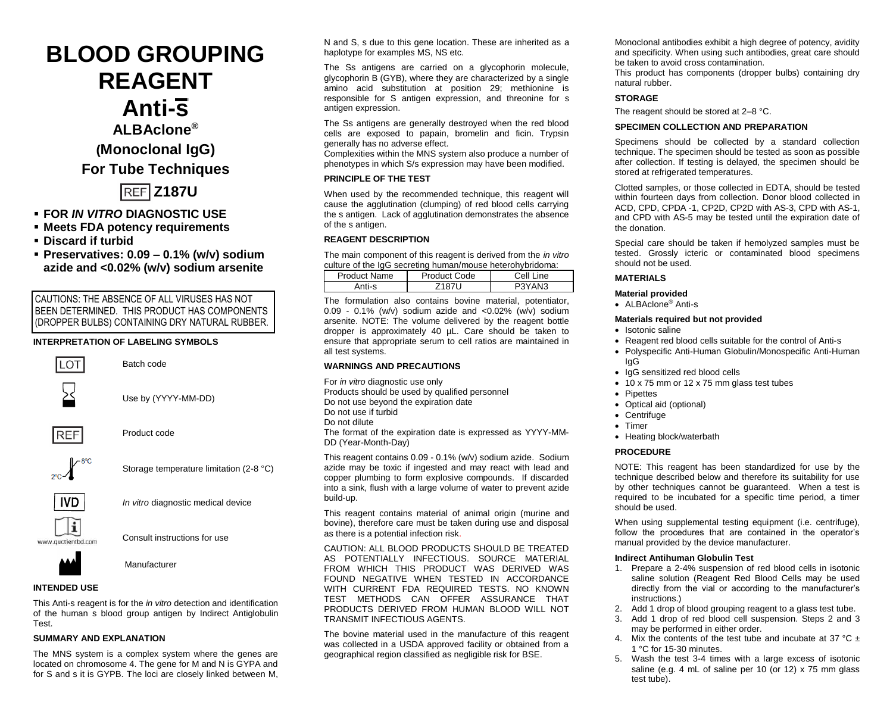**BLOOD GROUPING REAGENT Anti-s ALBAclone® (Monoclonal IgG) For Tube Techniques Z187U**

- **FOR** *IN VITRO* **DIAGNOSTIC USE**
- **Meets FDA potency requirements**
- **Discard if turbid**
- **Preservatives: 0.09 – 0.1% (w/v) sodium azide and <0.02% (w/v) sodium arsenite**

CAUTIONS: THE ABSENCE OF ALL VIRUSES HAS NOT BEEN DETERMINED. THIS PRODUCT HAS COMPONENTS (DROPPER BULBS) CONTAINING DRY NATURAL RUBBER.

# **INTERPRETATION OF LABELING SYMBOLS**





Consult instructions for use



Manufacturer

# **INTENDED USE**

This Anti-s reagent is for the *in vitro* detection and identification of the human s blood group antigen by Indirect Antiglobulin Test.

### **SUMMARY AND EXPLANATION**

The MNS system is a complex system where the genes are located on chromosome 4. The gene for M and N is GYPA and for S and s it is GYPB. The loci are closely linked between M,

N and S, s due to this gene location. These are inherited as a haplotype for examples MS, NS etc.

The Ss antigens are carried on a glycophorin molecule, glycophorin B (GYB), where they are characterized by a single amino acid substitution at position 29; methionine is responsible for S antigen expression, and threonine for s antigen expression.

The Ss antigens are generally destroved when the red blood cells are exposed to papain, bromelin and ficin. Trypsin generally has no adverse effect.

Complexities within the MNS system also produce a number of phenotypes in which S/s expression may have been modified.

# **PRINCIPLE OF THE TEST**

When used by the recommended technique, this reagent will cause the agglutination (clumping) of red blood cells carrying the s antigen. Lack of agglutination demonstrates the absence of the s antigen.

### **REAGENT DESCRIPTION**

The main component of this reagent is derived from the *in vitro* culture of the IgG secreting human/mouse heterohybridoma:

| Product Name | Product Code | Cell Line |  |  |  |
|--------------|--------------|-----------|--|--|--|
| Anti-s       | 718711       | P3YAN3    |  |  |  |

The formulation also contains bovine material, potentiator, 0.09 - 0.1% (w/v) sodium azide and <0.02% (w/v) sodium arsenite. NOTE: The volume delivered by the reagent bottle dropper is approximately 40 µL. Care should be taken to ensure that appropriate serum to cell ratios are maintained in all test systems.

# **WARNINGS AND PRECAUTIONS**

For *in vitro* diagnostic use only Products should be used by qualified personnel Do not use beyond the expiration date Do not use if turbid Do not dilute The format of the expiration date is expressed as YYYY-MM-DD (Year-Month-Day)

This reagent contains 0.09 - 0.1% (w/v) sodium azide. Sodium azide may be toxic if ingested and may react with lead and copper plumbing to form explosive compounds. If discarded into a sink, flush with a large volume of water to prevent azide build-up.

This reagent contains material of animal origin (murine and bovine), therefore care must be taken during use and disposal as there is a potential infection risk.

CAUTION: ALL BLOOD PRODUCTS SHOULD BE TREATED AS POTENTIALLY INFECTIOUS. SOURCE MATERIAL FROM WHICH THIS PRODUCT WAS DERIVED WAS FOUND NEGATIVE WHEN TESTED IN ACCORDANCE WITH CURRENT FDA REQUIRED TESTS. NO KNOWN TEST METHODS CAN OFFER ASSURANCE THAT PRODUCTS DERIVED FROM HUMAN BLOOD WILL NOT TRANSMIT INFECTIOUS AGENTS.

The bovine material used in the manufacture of this reagent was collected in a USDA approved facility or obtained from a geographical region classified as negligible risk for BSE.

Monoclonal antibodies exhibit a high degree of potency, avidity and specificity. When using such antibodies, great care should be taken to avoid cross contamination*.*

This product has components (dropper bulbs) containing dry natural rubber.

### **STORAGE**

The reagent should be stored at 2–8 °C.

### **SPECIMEN COLLECTION AND PREPARATION**

Specimens should be collected by a standard collection technique. The specimen should be tested as soon as possible after collection. If testing is delayed, the specimen should be stored at refrigerated temperatures.

Clotted samples, or those collected in EDTA, should be tested within fourteen days from collection. Donor blood collected in ACD, CPD, CPDA -1, CP2D, CP2D with AS-3, CPD with AS-1, and CPD with AS-5 may be tested until the expiration date of the donation.

Special care should be taken if hemolyzed samples must be tested. Grossly icteric or contaminated blood specimens should not be used.

# **MATERIALS**

### **Material provided**

• ALBAclone® Anti-s

#### **Materials required but not provided**

- Isotonic saline
- Reagent red blood cells suitable for the control of Anti-s
- Polyspecific Anti-Human Globulin/Monospecific Anti-Human IgG
- IgG sensitized red blood cells
- 10 x 75 mm or 12 x 75 mm glass test tubes
- Pipettes
- Optical aid (optional)
- Centrifuge
- Timer
- Heating block/waterbath

### **PROCEDURE**

NOTE: This reagent has been standardized for use by the technique described below and therefore its suitability for use by other techniques cannot be quaranteed. When a test is required to be incubated for a specific time period, a timer should be used.

When using supplemental testing equipment (i.e. centrifuge), follow the procedures that are contained in the operator's manual provided by the device manufacturer.

### **Indirect Antihuman Globulin Test**

- 1. Prepare a 2-4% suspension of red blood cells in isotonic saline solution (Reagent Red Blood Cells may be used directly from the vial or according to the manufacturer's instructions.)
- 2. Add 1 drop of blood grouping reagent to a glass test tube.
- 3. Add 1 drop of red blood cell suspension. Steps 2 and 3 may be performed in either order.
- 4. Mix the contents of the test tube and incubate at 37  $^{\circ}$ C + 1 °C for 15-30 minutes.
- Wash the test 3-4 times with a large excess of isotonic saline (e.g. 4 mL of saline per 10 (or 12)  $\times$  75 mm glass test tube).